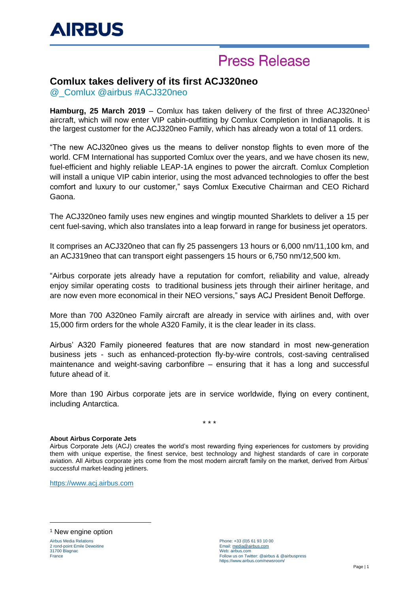# **Press Release**

### **Comlux takes delivery of its first ACJ320neo**

@\_Comlux @airbus #ACJ320neo

**Hamburg, 25 March 2019** – Comlux has taken delivery of the first of three ACJ320neo<sup>1</sup> aircraft, which will now enter VIP cabin-outfitting by Comlux Completion in Indianapolis. It is the largest customer for the ACJ320neo Family, which has already won a total of 11 orders.

"The new ACJ320neo gives us the means to deliver nonstop flights to even more of the world. CFM International has supported Comlux over the years, and we have chosen its new, fuel-efficient and highly reliable LEAP-1A engines to power the aircraft. Comlux Completion will install a unique VIP cabin interior, using the most advanced technologies to offer the best comfort and luxury to our customer," says Comlux Executive Chairman and CEO Richard Gaona.

The ACJ320neo family uses new engines and wingtip mounted Sharklets to deliver a 15 per cent fuel-saving, which also translates into a leap forward in range for business jet operators.

It comprises an ACJ320neo that can fly 25 passengers 13 hours or 6,000 nm/11,100 km, and an ACJ319neo that can transport eight passengers 15 hours or 6,750 nm/12,500 km.

"Airbus corporate jets already have a reputation for comfort, reliability and value, already enjoy similar operating costs to traditional business jets through their airliner heritage, and are now even more economical in their NEO versions," says ACJ President Benoit Defforge.

More than 700 A320neo Family aircraft are already in service with airlines and, with over 15,000 firm orders for the whole A320 Family, it is the clear leader in its class.

Airbus' A320 Family pioneered features that are now standard in most new-generation business jets - such as enhanced-protection fly-by-wire controls, cost-saving centralised maintenance and weight-saving carbonfibre – ensuring that it has a long and successful future ahead of it.

More than 190 Airbus corporate jets are in service worldwide, flying on every continent, including Antarctica.

\* \* \*

#### **About Airbus Corporate Jets**

Airbus Corporate Jets (ACJ) creates the world's most rewarding flying experiences for customers by providing them with unique expertise, the finest service, best technology and highest standards of care in corporate aviation. All Airbus corporate jets come from the most modern aircraft family on the market, derived from Airbus' successful market-leading jetliners.

[https://www.acj.airbus.com](https://www.acj.airbus.com/)

<sup>1</sup> New engine option

Airbus Media Relations 2 rond-point Emile Dewoitine 31700 Blagnac France